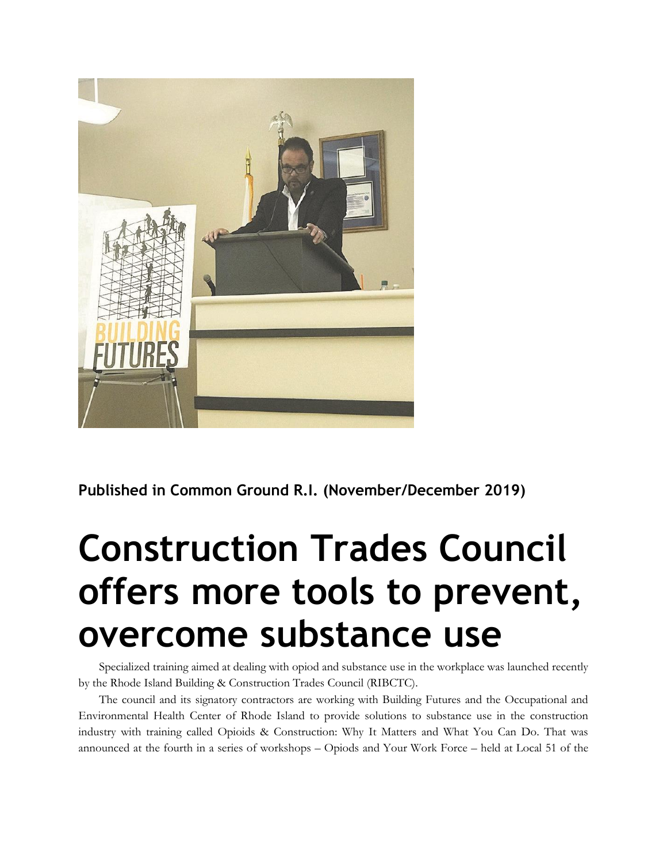

**Published in Common Ground R.I. (November/December 2019)**

## **Construction Trades Council offers more tools to prevent, overcome substance use**

Specialized training aimed at dealing with opiod and substance use in the workplace was launched recently by the Rhode Island Building & Construction Trades Council (RIBCTC).

The council and its signatory contractors are working with Building Futures and the Occupational and Environmental Health Center of Rhode Island to provide solutions to substance use in the construction industry with training called Opioids & Construction: Why It Matters and What You Can Do. That was announced at the fourth in a series of workshops – Opiods and Your Work Force – held at Local 51 of the